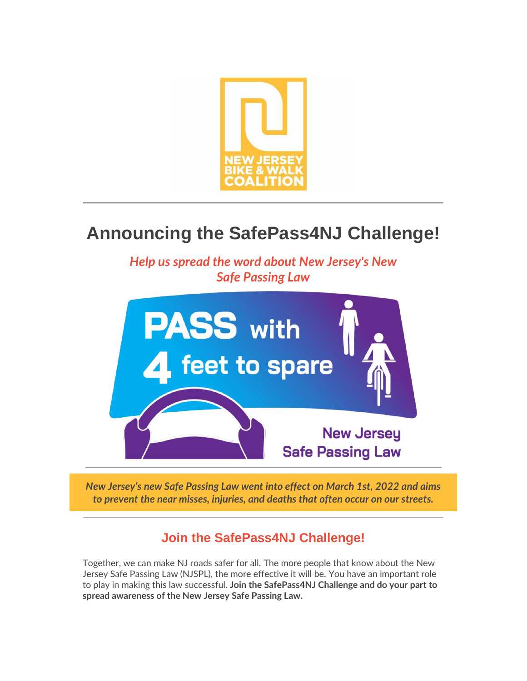

# **Announcing the SafePass4NJ Challenge!**

*Help us spread the word about New Jersey's New Safe Passing Law*



*New Jersey's new Safe Passing Law went into effect on March 1st, 2022 and aims to prevent the near misses, injuries, and deaths that often occur on our streets.*

## **Join the SafePass4NJ Challenge!**

Together, we can make NJ roads safer for all. The more people that know about the New Jersey Safe Passing Law (NJSPL), the more effective it will be. You have an important role to play in making this law successful. **Join the SafePass4NJ Challenge and do your part to spread awareness of the New Jersey Safe Passing Law.**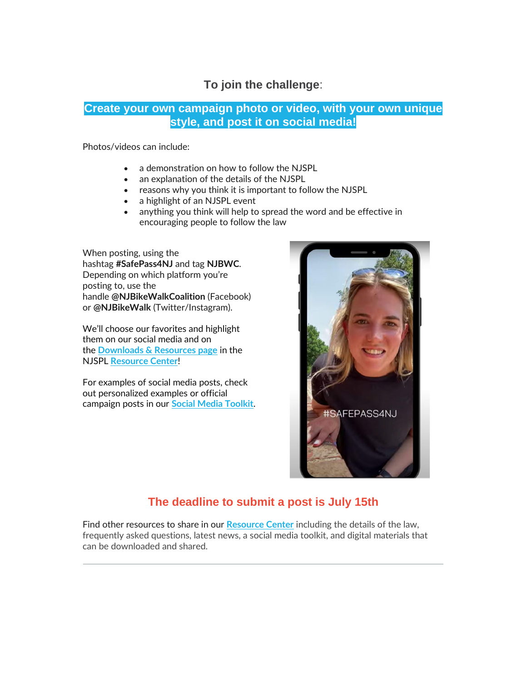### **To join the challenge**:

#### **Create your own campaign photo or video, with your own unique style, and post it on social media!**

Photos/videos can include:

- a demonstration on how to follow the NJSPL
- an explanation of the details of the NJSPL
- reasons why you think it is important to follow the NJSPL
- a highlight of an NJSPL event
- anything you think will help to spread the word and be effective in encouraging people to follow the law

When posting, using the hashtag **#SafePass4NJ** and tag **NJBWC**. Depending on which platform you're posting to, use the handle **@NJBikeWalkCoalition** (Facebook) or **@NJBikeWalk** (Twitter/Instagram).

We'll choose our favorites and highlight them on our social media and on the **[Downloads & Resources page](https://r20.rs6.net/tn.jsp?f=0015SXotiq7_JfhX37GmAe1wl6tmErrwRDi1fQyOr1pGCHa2pJF2RDtEu2X2uruAo-g0VKR0jDqq4XK84YTfig_nk3fCwevw71fZZ0vL0AGRQTJSsxrOPfn9O3VkXbVIEboXkIp7zjxtdrVhd20VJW0j3ujzhzSpeKPlYqKqPbG9aYP0eDOUN_ZaScZ32cS3M8U&c=1B-s47-kveb3Coxcc9LUk5AlbtJ_oTDkew7oEShwLDAbf5y5EeYPvw==&ch=ZV3C20FZ0JQWStaSX9dA7DvQ6HLA2qqt2j-GF7M3N6TzTwsMk8e-4Q==)** in the NJSPL **[Resource Center](https://r20.rs6.net/tn.jsp?f=0015SXotiq7_JfhX37GmAe1wl6tmErrwRDi1fQyOr1pGCHa2pJF2RDtEq2q4HDXAOkpQeNSRA0bFgSOME0iX5shrFVocgmhCCr_bsS5GaE6ReqU5Cz3easOZWGgbPYDw3qkFd84w930X8ADpVx17dP8Vuj-xxztWAPy&c=1B-s47-kveb3Coxcc9LUk5AlbtJ_oTDkew7oEShwLDAbf5y5EeYPvw==&ch=ZV3C20FZ0JQWStaSX9dA7DvQ6HLA2qqt2j-GF7M3N6TzTwsMk8e-4Q==)**!

For examples of social media posts, check out personalized examples or official campaign posts in our **[Social Media Toolkit](https://r20.rs6.net/tn.jsp?f=0015SXotiq7_JfhX37GmAe1wl6tmErrwRDi1fQyOr1pGCHa2pJF2RDtEjNN_HfVkR7CB9g_rnigy61vsCnYBUa18woYj6-40n3EvOyZGWrifXtgsG_F6-RJ2wI_Zpjh9ubtG037GkRSlHj-qYYYPIk4IGBIfd8eNXGPdsmHygUwZul2uf6QUZgZpXpOD5R9VfB1&c=1B-s47-kveb3Coxcc9LUk5AlbtJ_oTDkew7oEShwLDAbf5y5EeYPvw==&ch=ZV3C20FZ0JQWStaSX9dA7DvQ6HLA2qqt2j-GF7M3N6TzTwsMk8e-4Q==)**.



## **The deadline to submit a post is July 15th**

Find other resources to share in our **[Resource Center](https://r20.rs6.net/tn.jsp?f=0015SXotiq7_JfhX37GmAe1wl6tmErrwRDi1fQyOr1pGCHa2pJF2RDtEq2q4HDXAOkpQeNSRA0bFgSOME0iX5shrFVocgmhCCr_bsS5GaE6ReqU5Cz3easOZWGgbPYDw3qkFd84w930X8ADpVx17dP8Vuj-xxztWAPy&c=1B-s47-kveb3Coxcc9LUk5AlbtJ_oTDkew7oEShwLDAbf5y5EeYPvw==&ch=ZV3C20FZ0JQWStaSX9dA7DvQ6HLA2qqt2j-GF7M3N6TzTwsMk8e-4Q==)** including the details of the law, frequently asked questions, latest news, a social media toolkit, and digital materials that can be downloaded and shared.